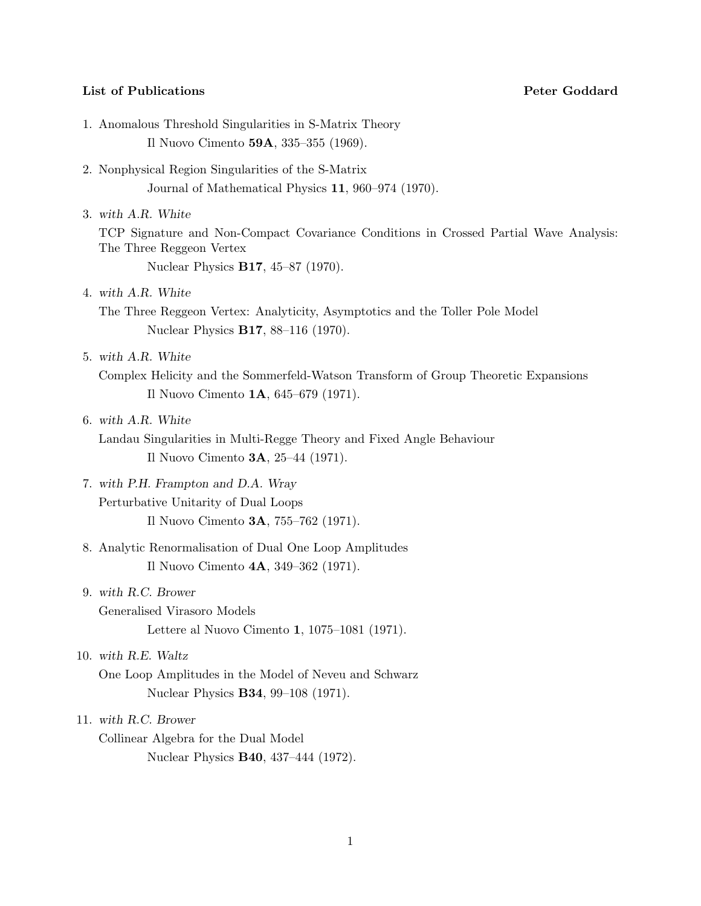## **List of Publications Peter Goddard**

- 1. Anomalous Threshold Singularities in S-Matrix Theory Il Nuovo Cimento **59A**, 335–355 (1969).
- 2. Nonphysical Region Singularities of the S-Matrix Journal of Mathematical Physics **11**, 960–974 (1970).
- 3. *with A.R. White* TCP Signature and Non-Compact Covariance Conditions in Crossed Partial Wave Analysis: The Three Reggeon Vertex Nuclear Physics **B17**, 45–87 (1970).
- 4. *with A.R. White* The Three Reggeon Vertex: Analyticity, Asymptotics and the Toller Pole Model Nuclear Physics **B17**, 88–116 (1970).
- 5. *with A.R. White*
	- Complex Helicity and the Sommerfeld-Watson Transform of Group Theoretic Expansions Il Nuovo Cimento **1A**, 645–679 (1971).
- 6. *with A.R. White*

Landau Singularities in Multi-Regge Theory and Fixed Angle Behaviour Il Nuovo Cimento **3A**, 25–44 (1971).

- 7. *with P.H. Frampton and D.A. Wray* Perturbative Unitarity of Dual Loops Il Nuovo Cimento **3A**, 755–762 (1971).
- 8. Analytic Renormalisation of Dual One Loop Amplitudes Il Nuovo Cimento **4A**, 349–362 (1971).
- 9. *with R.C. Brower* Generalised Virasoro Models Lettere al Nuovo Cimento **1**, 1075–1081 (1971).
- 10. *with R.E. Waltz*

One Loop Amplitudes in the Model of Neveu and Schwarz Nuclear Physics **B34**, 99–108 (1971).

# 11. *with R.C. Brower*

Collinear Algebra for the Dual Model Nuclear Physics **B40**, 437–444 (1972).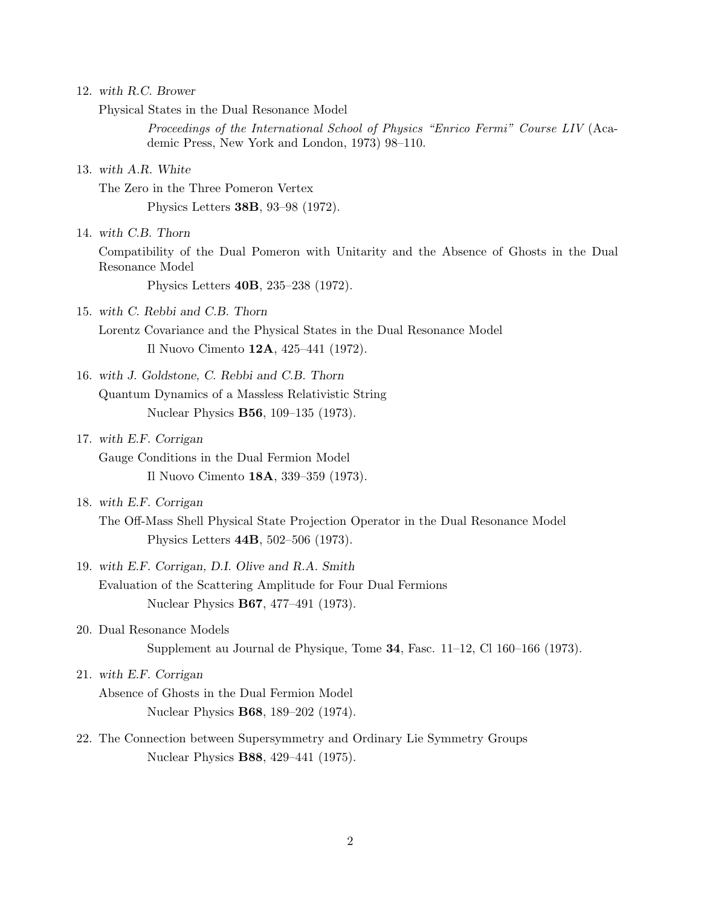|  | 12. with R.C. Brower |
|--|----------------------|
|  |                      |

Physical States in the Dual Resonance Model

*Proceedings of the International School of Physics "Enrico Fermi" Course LIV* (Academic Press, New York and London, 1973) 98–110.

13. *with A.R. White*

The Zero in the Three Pomeron Vertex Physics Letters **38B**, 93–98 (1972).

14. *with C.B. Thorn*

Compatibility of the Dual Pomeron with Unitarity and the Absence of Ghosts in the Dual Resonance Model

Physics Letters **40B**, 235–238 (1972).

15. *with C. Rebbi and C.B. Thorn*

Lorentz Covariance and the Physical States in the Dual Resonance Model Il Nuovo Cimento **12A**, 425–441 (1972).

- 16. *with J. Goldstone, C. Rebbi and C.B. Thorn* Quantum Dynamics of a Massless Relativistic String Nuclear Physics **B56**, 109–135 (1973).
- 17. *with E.F. Corrigan*
	- Gauge Conditions in the Dual Fermion Model Il Nuovo Cimento **18A**, 339–359 (1973).
- 18. *with E.F. Corrigan*
	- The Off-Mass Shell Physical State Projection Operator in the Dual Resonance Model Physics Letters **44B**, 502–506 (1973).
- 19. *with E.F. Corrigan, D.I. Olive and R.A. Smith* Evaluation of the Scattering Amplitude for Four Dual Fermions Nuclear Physics **B67**, 477–491 (1973).
- 20. Dual Resonance Models Supplement au Journal de Physique, Tome **34**, Fasc. 11–12, Cl 160–166 (1973).
- 21. *with E.F. Corrigan*

Absence of Ghosts in the Dual Fermion Model Nuclear Physics **B68**, 189–202 (1974).

22. The Connection between Supersymmetry and Ordinary Lie Symmetry Groups Nuclear Physics **B88**, 429–441 (1975).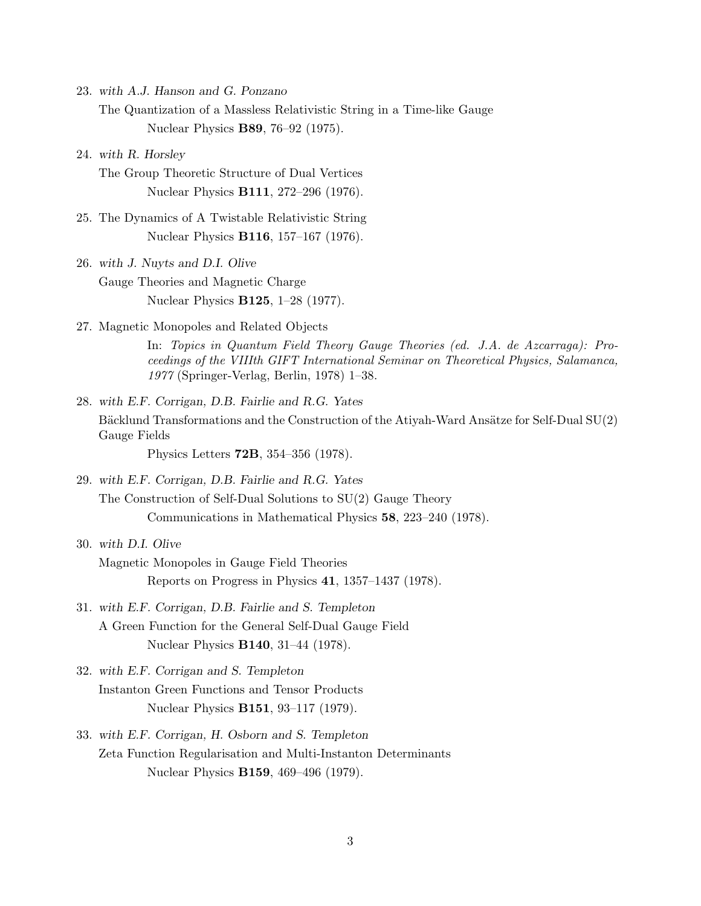23. *with A.J. Hanson and G. Ponzano*

The Quantization of a Massless Relativistic String in a Time-like Gauge Nuclear Physics **B89**, 76–92 (1975).

24. *with R. Horsley*

The Group Theoretic Structure of Dual Vertices Nuclear Physics **B111**, 272–296 (1976).

- 25. The Dynamics of A Twistable Relativistic String Nuclear Physics **B116**, 157–167 (1976).
- 26. *with J. Nuyts and D.I. Olive* Gauge Theories and Magnetic Charge Nuclear Physics **B125**, 1–28 (1977).
- 27. Magnetic Monopoles and Related Objects

In: *Topics in Quantum Field Theory Gauge Theories (ed. J.A. de Azcarraga): Proceedings of the VIIIth GIFT International Seminar on Theoretical Physics, Salamanca, 1977* (Springer-Verlag, Berlin, 1978) 1–38.

28. *with E.F. Corrigan, D.B. Fairlie and R.G. Yates* Bäcklund Transformations and the Construction of the Atiyah-Ward Ansätze for Self-Dual SU(2) Gauge Fields

Physics Letters **72B**, 354–356 (1978).

29. *with E.F. Corrigan, D.B. Fairlie and R.G. Yates* The Construction of Self-Dual Solutions to SU(2) Gauge Theory Communications in Mathematical Physics **58**, 223–240 (1978).

# 30. *with D.I. Olive*

Magnetic Monopoles in Gauge Field Theories Reports on Progress in Physics **41**, 1357–1437 (1978).

- 31. *with E.F. Corrigan, D.B. Fairlie and S. Templeton* A Green Function for the General Self-Dual Gauge Field Nuclear Physics **B140**, 31–44 (1978).
- 32. *with E.F. Corrigan and S. Templeton* Instanton Green Functions and Tensor Products Nuclear Physics **B151**, 93–117 (1979).
- 33. *with E.F. Corrigan, H. Osborn and S. Templeton* Zeta Function Regularisation and Multi-Instanton Determinants Nuclear Physics **B159**, 469–496 (1979).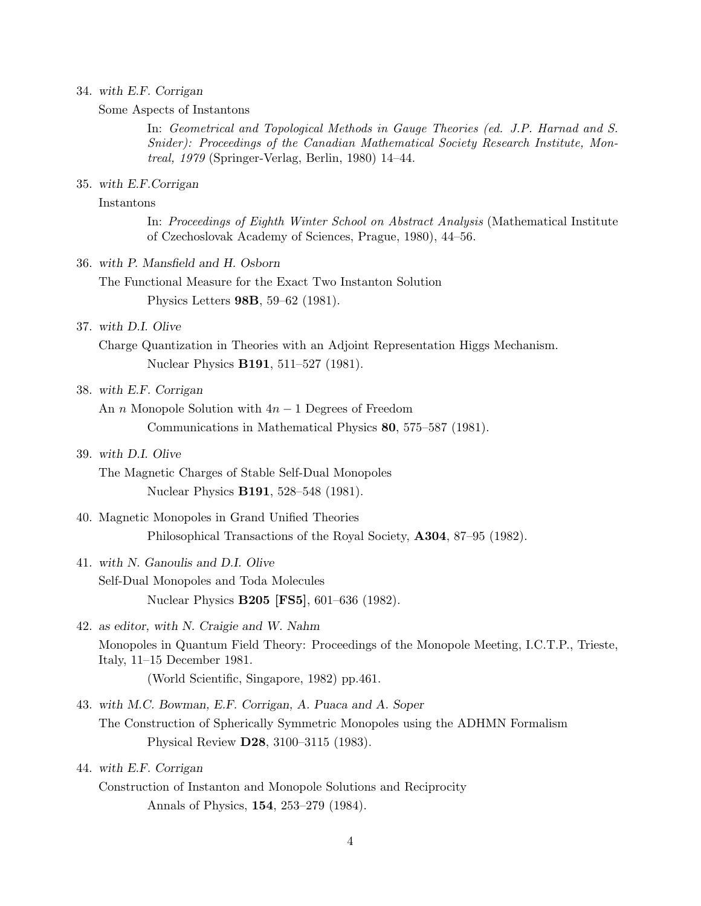#### 34. *with E.F. Corrigan*

Some Aspects of Instantons

In: *Geometrical and Topological Methods in Gauge Theories (ed. J.P. Harnad and S. Snider): Proceedings of the Canadian Mathematical Society Research Institute, Montreal, 1979* (Springer-Verlag, Berlin, 1980) 14–44.

#### 35. *with E.F.Corrigan*

# Instantons

In: *Proceedings of Eighth Winter School on Abstract Analysis* (Mathematical Institute of Czechoslovak Academy of Sciences, Prague, 1980), 44–56.

#### 36. *with P. Mansfield and H. Osborn*

The Functional Measure for the Exact Two Instanton Solution Physics Letters **98B**, 59–62 (1981).

# 37. *with D.I. Olive*

Charge Quantization in Theories with an Adjoint Representation Higgs Mechanism. Nuclear Physics **B191**, 511–527 (1981).

# 38. *with E.F. Corrigan*

An *n* Monopole Solution with 4*n −* 1 Degrees of Freedom

Communications in Mathematical Physics **80**, 575–587 (1981).

# 39. *with D.I. Olive*

The Magnetic Charges of Stable Self-Dual Monopoles Nuclear Physics **B191**, 528–548 (1981).

# 40. Magnetic Monopoles in Grand Unified Theories Philosophical Transactions of the Royal Society, **A304**, 87–95 (1982).

# 41. *with N. Ganoulis and D.I. Olive* Self-Dual Monopoles and Toda Molecules

Nuclear Physics **B205 [FS5]**, 601–636 (1982).

# 42. *as editor, with N. Craigie and W. Nahm* Monopoles in Quantum Field Theory: Proceedings of the Monopole Meeting, I.C.T.P., Trieste, Italy, 11–15 December 1981. (World Scientific, Singapore, 1982) pp.461.

- 43. *with M.C. Bowman, E.F. Corrigan, A. Puaca and A. Soper* The Construction of Spherically Symmetric Monopoles using the ADHMN Formalism Physical Review **D28**, 3100–3115 (1983).
- 44. *with E.F. Corrigan*
	- Construction of Instanton and Monopole Solutions and Reciprocity Annals of Physics, **154**, 253–279 (1984).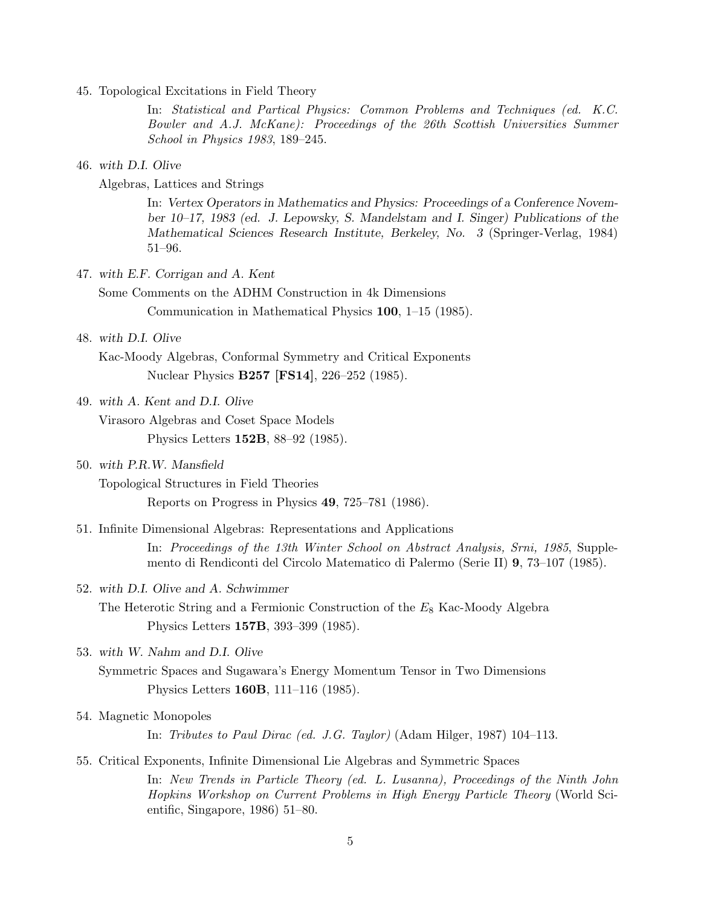45. Topological Excitations in Field Theory

In: *Statistical and Partical Physics: Common Problems and Techniques (ed. K.C. Bowler and A.J. McKane): Proceedings of the 26th Scottish Universities Summer School in Physics 1983*, 189–245.

#### 46. *with D.I. Olive*

Algebras, Lattices and Strings

In: *Vertex Operators in Mathematics and Physics: Proceedings of a Conference November 10–17, 1983 (ed. J. Lepowsky, S. Mandelstam and I. Singer) Publications of the Mathematical Sciences Research Institute, Berkeley, No. 3* (Springer-Verlag, 1984) 51–96.

47. *with E.F. Corrigan and A. Kent*

Some Comments on the ADHM Construction in 4k Dimensions Communication in Mathematical Physics **100**, 1–15 (1985).

#### 48. *with D.I. Olive*

Kac-Moody Algebras, Conformal Symmetry and Critical Exponents Nuclear Physics **B257 [FS14]**, 226–252 (1985).

# 49. *with A. Kent and D.I. Olive*

Virasoro Algebras and Coset Space Models Physics Letters **152B**, 88–92 (1985).

# 50. *with P.R.W. Mansfield*

Topological Structures in Field Theories

Reports on Progress in Physics **49**, 725–781 (1986).

51. Infinite Dimensional Algebras: Representations and Applications

In: *Proceedings of the 13th Winter School on Abstract Analysis, Srni, 1985*, Supplemento di Rendiconti del Circolo Matematico di Palermo (Serie II) **9**, 73–107 (1985).

#### 52. *with D.I. Olive and A. Schwimmer*

The Heterotic String and a Fermionic Construction of the *E*<sup>8</sup> Kac-Moody Algebra Physics Letters **157B**, 393–399 (1985).

53. *with W. Nahm and D.I. Olive*

Symmetric Spaces and Sugawara's Energy Momentum Tensor in Two Dimensions Physics Letters **160B**, 111–116 (1985).

54. Magnetic Monopoles

In: *Tributes to Paul Dirac (ed. J.G. Taylor)* (Adam Hilger, 1987) 104–113.

# 55. Critical Exponents, Infinite Dimensional Lie Algebras and Symmetric Spaces

In: *New Trends in Particle Theory (ed. L. Lusanna), Proceedings of the Ninth John Hopkins Workshop on Current Problems in High Energy Particle Theory* (World Scientific, Singapore, 1986) 51–80.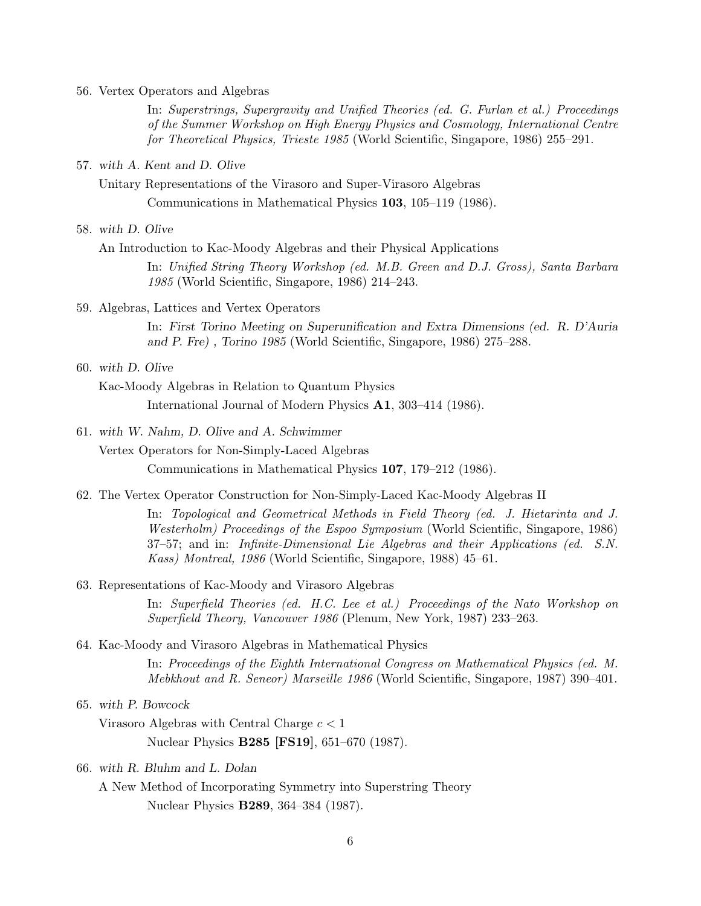56. Vertex Operators and Algebras

In: *Superstrings, Supergravity and Unified Theories (ed. G. Furlan et al.) Proceedings of the Summer Workshop on High Energy Physics and Cosmology, International Centre for Theoretical Physics, Trieste 1985* (World Scientific, Singapore, 1986) 255–291.

57. *with A. Kent and D. Olive*

Unitary Representations of the Virasoro and Super-Virasoro Algebras Communications in Mathematical Physics **103**, 105–119 (1986).

58. *with D. Olive*

An Introduction to Kac-Moody Algebras and their Physical Applications

In: *Unified String Theory Workshop (ed. M.B. Green and D.J. Gross), Santa Barbara 1985* (World Scientific, Singapore, 1986) 214–243.

59. Algebras, Lattices and Vertex Operators

In: *First Torino Meeting on Superunification and Extra Dimensions (ed. R. D'Auria and P. Fre) , Torino 1985* (World Scientific, Singapore, 1986) 275–288.

60. *with D. Olive*

Kac-Moody Algebras in Relation to Quantum Physics

International Journal of Modern Physics **A1**, 303–414 (1986).

61. *with W. Nahm, D. Olive and A. Schwimmer*

Vertex Operators for Non-Simply-Laced Algebras

Communications in Mathematical Physics **107**, 179–212 (1986).

62. The Vertex Operator Construction for Non-Simply-Laced Kac-Moody Algebras II

In: *Topological and Geometrical Methods in Field Theory (ed. J. Hietarinta and J. Westerholm) Proceedings of the Espoo Symposium* (World Scientific, Singapore, 1986) 37–57; and in: *Infinite-Dimensional Lie Algebras and their Applications (ed. S.N. Kass) Montreal, 1986* (World Scientific, Singapore, 1988) 45–61.

63. Representations of Kac-Moody and Virasoro Algebras

In: *Superfield Theories (ed. H.C. Lee et al.) Proceedings of the Nato Workshop on Superfield Theory, Vancouver 1986* (Plenum, New York, 1987) 233–263.

64. Kac-Moody and Virasoro Algebras in Mathematical Physics

In: *Proceedings of the Eighth International Congress on Mathematical Physics (ed. M. Mebkhout and R. Seneor) Marseille 1986* (World Scientific, Singapore, 1987) 390–401.

65. *with P. Bowcock*

Virasoro Algebras with Central Charge *c <* 1

Nuclear Physics **B285 [FS19]**, 651–670 (1987).

66. *with R. Bluhm and L. Dolan*

A New Method of Incorporating Symmetry into Superstring Theory Nuclear Physics **B289**, 364–384 (1987).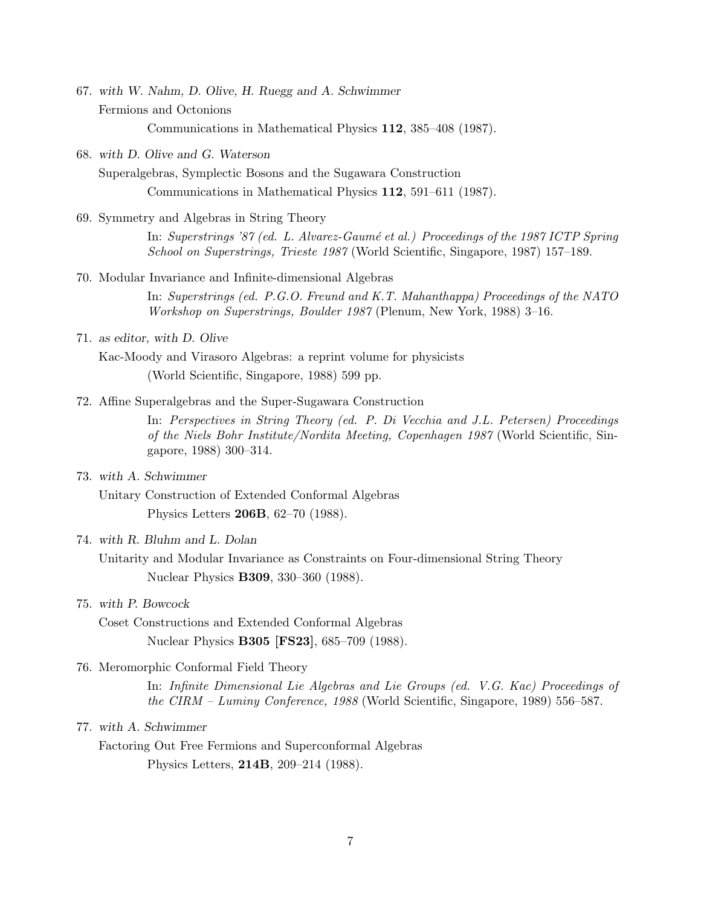- 67. *with W. Nahm, D. Olive, H. Ruegg and A. Schwimmer* Fermions and Octonions Communications in Mathematical Physics **112**, 385–408 (1987).
- 68. *with D. Olive and G. Waterson*

Superalgebras, Symplectic Bosons and the Sugawara Construction Communications in Mathematical Physics **112**, 591–611 (1987).

69. Symmetry and Algebras in String Theory

In: *Superstrings '87 (ed. L. Alvarez-Gaumé et al.) Proceedings of the 1987 ICTP Spring School on Superstrings, Trieste 1987* (World Scientific, Singapore, 1987) 157–189.

70. Modular Invariance and Infinite-dimensional Algebras

In: *Superstrings (ed. P.G.O. Freund and K.T. Mahanthappa) Proceedings of the NATO Workshop on Superstrings, Boulder 1987* (Plenum, New York, 1988) 3–16.

71. *as editor, with D. Olive*

Kac-Moody and Virasoro Algebras: a reprint volume for physicists (World Scientific, Singapore, 1988) 599 pp.

72. Affine Superalgebras and the Super-Sugawara Construction

In: *Perspectives in String Theory (ed. P. Di Vecchia and J.L. Petersen) Proceedings of the Niels Bohr Institute/Nordita Meeting, Copenhagen 1987* (World Scientific, Singapore, 1988) 300–314.

73. *with A. Schwimmer*

Unitary Construction of Extended Conformal Algebras Physics Letters **206B**, 62–70 (1988).

74. *with R. Bluhm and L. Dolan*

Unitarity and Modular Invariance as Constraints on Four-dimensional String Theory Nuclear Physics **B309**, 330–360 (1988).

# 75. *with P. Bowcock*

Coset Constructions and Extended Conformal Algebras Nuclear Physics **B305 [FS23]**, 685–709 (1988).

76. Meromorphic Conformal Field Theory

In: *Infinite Dimensional Lie Algebras and Lie Groups (ed. V.G. Kac) Proceedings of the CIRM – Luminy Conference, 1988* (World Scientific, Singapore, 1989) 556–587.

77. *with A. Schwimmer*

Factoring Out Free Fermions and Superconformal Algebras Physics Letters, **214B**, 209–214 (1988).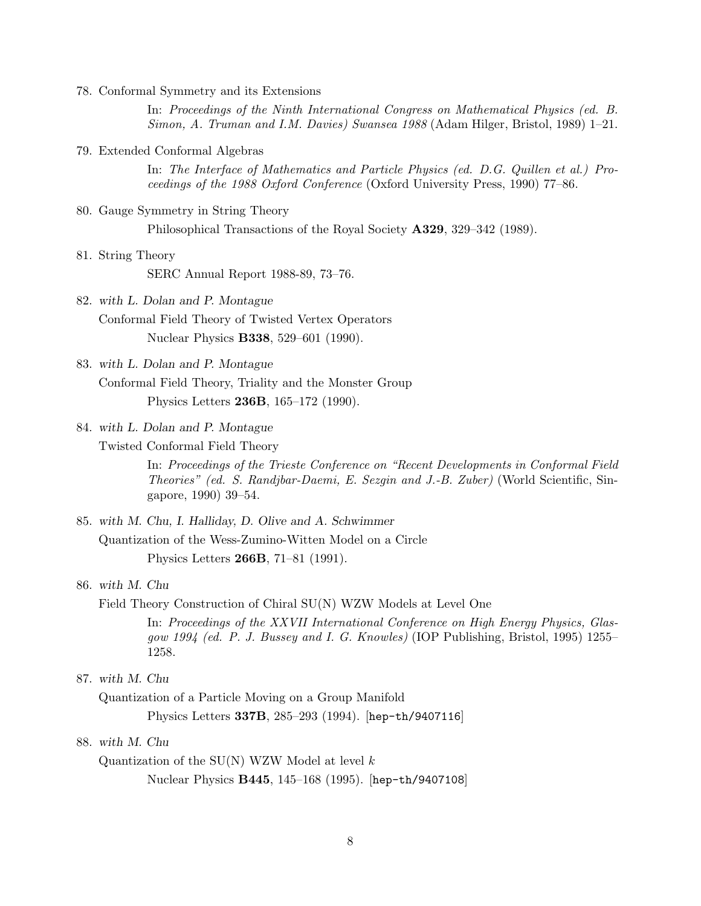78. Conformal Symmetry and its Extensions

In: *Proceedings of the Ninth International Congress on Mathematical Physics (ed. B. Simon, A. Truman and I.M. Davies) Swansea 1988* (Adam Hilger, Bristol, 1989) 1–21.

79. Extended Conformal Algebras

In: *The Interface of Mathematics and Particle Physics (ed. D.G. Quillen et al.) Proceedings of the 1988 Oxford Conference* (Oxford University Press, 1990) 77–86.

80. Gauge Symmetry in String Theory

Philosophical Transactions of the Royal Society **A329**, 329–342 (1989).

81. String Theory

SERC Annual Report 1988-89, 73–76.

- 82. *with L. Dolan and P. Montague* Conformal Field Theory of Twisted Vertex Operators Nuclear Physics **B338**, 529–601 (1990).
- 83. *with L. Dolan and P. Montague*

Conformal Field Theory, Triality and the Monster Group Physics Letters **236B**, 165–172 (1990).

- 84. *with L. Dolan and P. Montague*
	- Twisted Conformal Field Theory

In: *Proceedings of the Trieste Conference on "Recent Developments in Conformal Field Theories" (ed. S. Randjbar-Daemi, E. Sezgin and J.-B. Zuber)* (World Scientific, Singapore, 1990) 39–54.

- 85. *with M. Chu, I. Halliday, D. Olive and A. Schwimmer* Quantization of the Wess-Zumino-Witten Model on a Circle Physics Letters **266B**, 71–81 (1991).
- 86. *with M. Chu*

Field Theory Construction of Chiral SU(N) WZW Models at Level One

In: *Proceedings of the XXVII International Conference on High Energy Physics, Glasgow 1994 (ed. P. J. Bussey and I. G. Knowles)* (IOP Publishing, Bristol, 1995) 1255– 1258.

87. *with M. Chu*

Quantization of a Particle Moving on a Group Manifold

Physics Letters **337B**, 285–293 (1994). [hep-th/9407116]

# 88. *with M. Chu*

Quantization of the SU(N) WZW Model at level *k* Nuclear Physics **B445**, 145–168 (1995). [hep-th/9407108]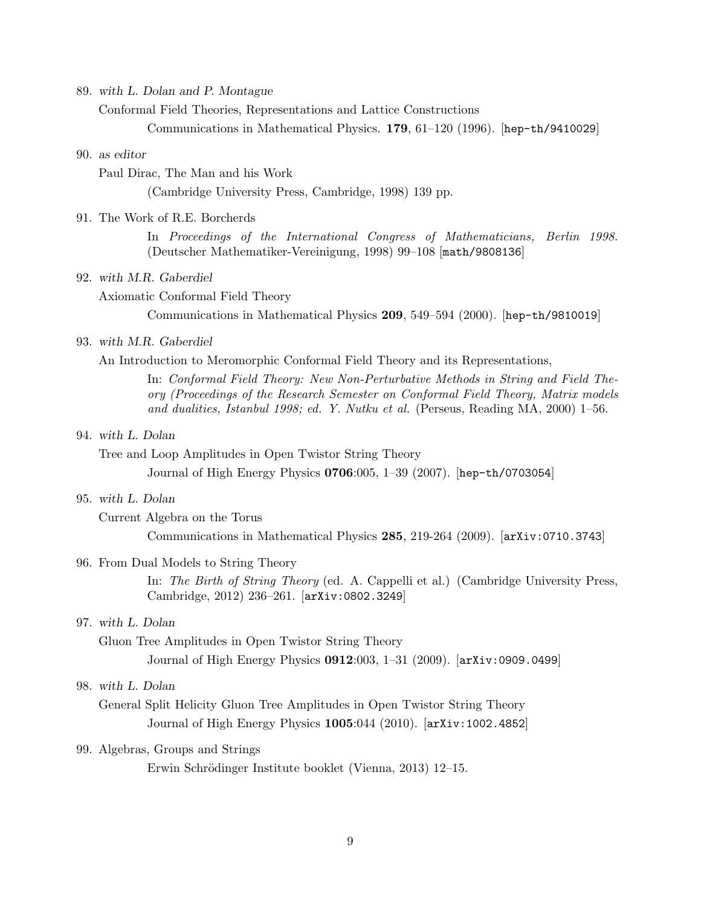89. *with L. Dolan and P. Montague*

Conformal Field Theories, Representations and Lattice Constructions

Communications in Mathematical Physics. **179**, 61–120 (1996). [hep-th/9410029]

# 90. *as editor*

Paul Dirac, The Man and his Work

(Cambridge University Press, Cambridge, 1998) 139 pp.

# 91. The Work of R.E. Borcherds

In *Proceedings of the International Congress of Mathematicians, Berlin 1998.* (Deutscher Mathematiker-Vereinigung, 1998) 99–108 [math/9808136]

#### 92. *with M.R. Gaberdiel*

Axiomatic Conformal Field Theory

Communications in Mathematical Physics **209**, 549–594 (2000). [hep-th/9810019]

# 93. *with M.R. Gaberdiel*

An Introduction to Meromorphic Conformal Field Theory and its Representations,

In: *Conformal Field Theory: New Non-Perturbative Methods in String and Field Theory (Proceedings of the Research Semester on Conformal Field Theory, Matrix models and dualities, Istanbul 1998; ed. Y. Nutku et al.* (Perseus, Reading MA, 2000) 1–56.

#### 94. *with L. Dolan*

Tree and Loop Amplitudes in Open Twistor String Theory

Journal of High Energy Physics **0706**:005, 1–39 (2007). [hep-th/0703054]

#### 95. *with L. Dolan*

Current Algebra on the Torus

Communications in Mathematical Physics **285**, 219-264 (2009). [arXiv:0710.3743]

## 96. From Dual Models to String Theory

In: *The Birth of String Theory* (ed. A. Cappelli et al.) (Cambridge University Press, Cambridge, 2012) 236–261. [arXiv:0802.3249]

# 97. *with L. Dolan*

Gluon Tree Amplitudes in Open Twistor String Theory

Journal of High Energy Physics **0912**:003, 1–31 (2009). [arXiv:0909.0499]

# 98. *with L. Dolan*

General Split Helicity Gluon Tree Amplitudes in Open Twistor String Theory Journal of High Energy Physics **1005**:044 (2010). [arXiv:1002.4852]

# 99. Algebras, Groups and Strings

Erwin Schrödinger Institute booklet (Vienna, 2013) 12–15.